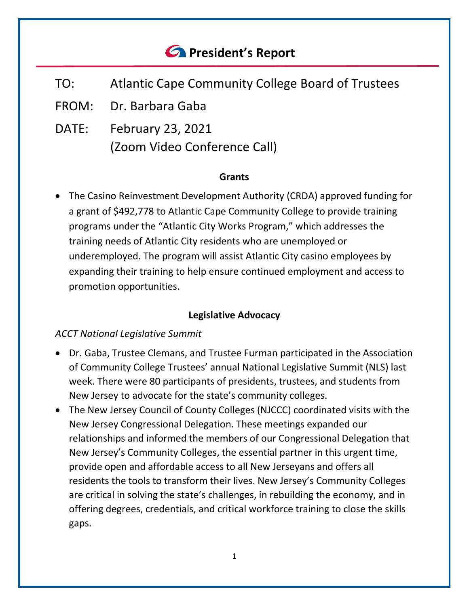# *<u>C* President's Report</u>

- TO: Atlantic Cape Community College Board of Trustees
- FROM: Dr. Barbara Gaba
- DATE: February 23, 2021 (Zoom Video Conference Call)

#### **Grants**

• The Casino Reinvestment Development Authority (CRDA) approved funding for a grant of \$492,778 to Atlantic Cape Community College to provide training programs under the "Atlantic City Works Program," which addresses the training needs of Atlantic City residents who are unemployed or underemployed. The program will assist Atlantic City casino employees by expanding their training to help ensure continued employment and access to promotion opportunities.

#### **Legislative Advocacy**

#### *ACCT National Legislative Summit*

- Dr. Gaba, Trustee Clemans, and Trustee Furman participated in the Association of Community College Trustees' annual National Legislative Summit (NLS) last week. There were 80 participants of presidents, trustees, and students from New Jersey to advocate for the state's community colleges.
- The New Jersey Council of County Colleges (NJCCC) coordinated visits with the New Jersey Congressional Delegation. These meetings expanded our relationships and informed the members of our Congressional Delegation that New Jersey's Community Colleges, the essential partner in this urgent time, provide open and affordable access to all New Jerseyans and offers all residents the tools to transform their lives. New Jersey's Community Colleges are critical in solving the state's challenges, in rebuilding the economy, and in offering degrees, credentials, and critical workforce training to close the skills gaps.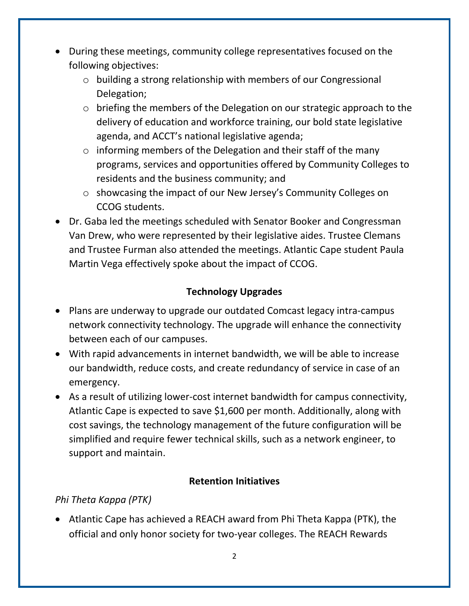- During these meetings, community college representatives focused on the following objectives:
	- o building a strong relationship with members of our Congressional Delegation;
	- o briefing the members of the Delegation on our strategic approach to the delivery of education and workforce training, our bold state legislative agenda, and ACCT's national legislative agenda;
	- $\circ$  informing members of the Delegation and their staff of the many programs, services and opportunities offered by Community Colleges to residents and the business community; and
	- o showcasing the impact of our New Jersey's Community Colleges on CCOG students.
- Dr. Gaba led the meetings scheduled with Senator Booker and Congressman Van Drew, who were represented by their legislative aides. Trustee Clemans and Trustee Furman also attended the meetings. Atlantic Cape student Paula Martin Vega effectively spoke about the impact of CCOG.

# **Technology Upgrades**

- Plans are underway to upgrade our outdated Comcast legacy intra-campus network connectivity technology. The upgrade will enhance the connectivity between each of our campuses.
- With rapid advancements in internet bandwidth, we will be able to increase our bandwidth, reduce costs, and create redundancy of service in case of an emergency.
- As a result of utilizing lower-cost internet bandwidth for campus connectivity, Atlantic Cape is expected to save \$1,600 per month. Additionally, along with cost savings, the technology management of the future configuration will be simplified and require fewer technical skills, such as a network engineer, to support and maintain.

# **Retention Initiatives**

# *Phi Theta Kappa (PTK)*

• Atlantic Cape has achieved a REACH award from Phi Theta Kappa (PTK), the official and only honor society for two-year colleges. The REACH Rewards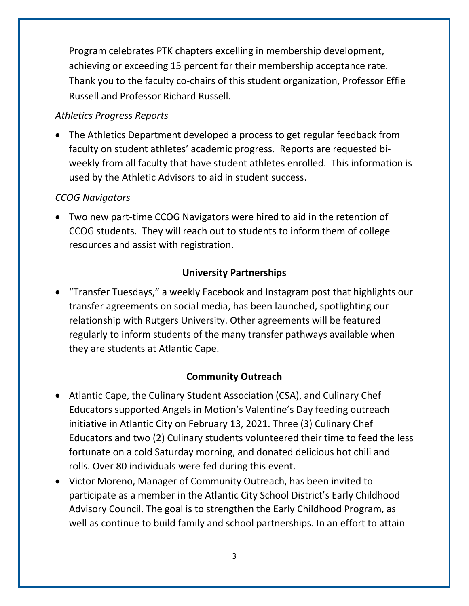Program celebrates PTK chapters excelling in membership development, achieving or exceeding 15 percent for their membership acceptance rate. Thank you to the faculty co-chairs of this student organization, Professor Effie Russell and Professor Richard Russell.

## *Athletics Progress Reports*

• The Athletics Department developed a process to get regular feedback from faculty on student athletes' academic progress. Reports are requested biweekly from all faculty that have student athletes enrolled. This information is used by the Athletic Advisors to aid in student success.

## *CCOG Navigators*

• Two new part-time CCOG Navigators were hired to aid in the retention of CCOG students. They will reach out to students to inform them of college resources and assist with registration.

## **University Partnerships**

• "Transfer Tuesdays," a weekly Facebook and Instagram post that highlights our transfer agreements on social media, has been launched, spotlighting our relationship with Rutgers University. Other agreements will be featured regularly to inform students of the many transfer pathways available when they are students at Atlantic Cape.

# **Community Outreach**

- Atlantic Cape, the Culinary Student Association (CSA), and Culinary Chef Educators supported Angels in Motion's Valentine's Day feeding outreach initiative in Atlantic City on February 13, 2021. Three (3) Culinary Chef Educators and two (2) Culinary students volunteered their time to feed the less fortunate on a cold Saturday morning, and donated delicious hot chili and rolls. Over 80 individuals were fed during this event.
- Victor Moreno, Manager of Community Outreach, has been invited to participate as a member in the Atlantic City School District's Early Childhood Advisory Council. The goal is to strengthen the Early Childhood Program, as well as continue to build family and school partnerships. In an effort to attain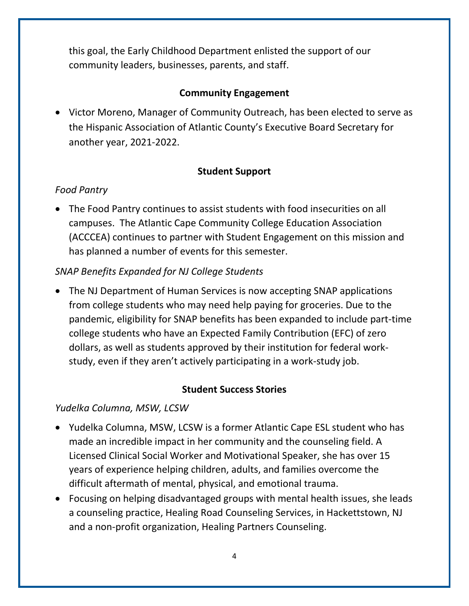this goal, the Early Childhood Department enlisted the support of our community leaders, businesses, parents, and staff.

#### **Community Engagement**

• Victor Moreno, Manager of Community Outreach, has been elected to serve as the Hispanic Association of Atlantic County's Executive Board Secretary for another year, 2021-2022.

## **Student Support**

# *Food Pantry*

• The Food Pantry continues to assist students with food insecurities on all campuses. The Atlantic Cape Community College Education Association (ACCCEA) continues to partner with Student Engagement on this mission and has planned a number of events for this semester.

# *SNAP Benefits Expanded for NJ College Students*

• The NJ Department of Human Services is now accepting SNAP applications from college students who may need help paying for groceries. Due to the pandemic, eligibility for SNAP benefits has been expanded to include part-time college students who have an Expected Family Contribution (EFC) of zero dollars, as well as students approved by their institution for federal workstudy, even if they aren't actively participating in a work-study job.

#### **Student Success Stories**

#### *Yudelka Columna, MSW, LCSW*

- Yudelka Columna, MSW, LCSW is a former Atlantic Cape ESL student who has made an incredible impact in her community and the counseling field. A Licensed Clinical Social Worker and Motivational Speaker, she has over 15 years of experience helping children, adults, and families overcome the difficult aftermath of mental, physical, and emotional trauma.
- Focusing on helping disadvantaged groups with mental health issues, she leads a counseling practice, Healing Road Counseling Services, in Hackettstown, NJ and a non-profit organization, Healing Partners Counseling.